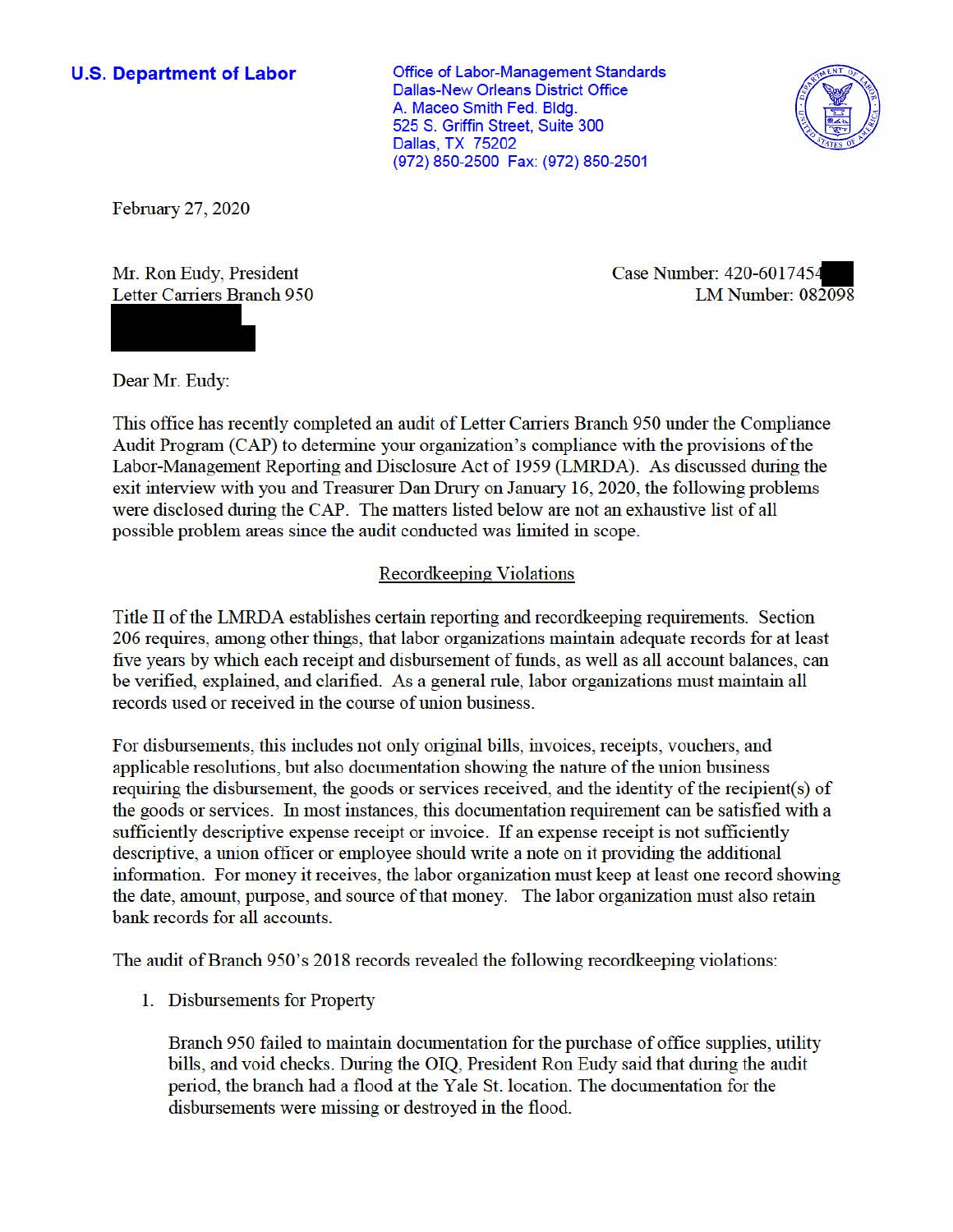**U.S. Department of Labor Conservative Conservation Conservative Conservation Conservation Conservation** Dallas-New Orleans District Office A. Maceo Smith Fed. Bldg. 525 S. Griffin Street, Suite 300 Dallas, TX 75202 (972) 850-2500 Fax: (972) 850-2501



February 27, 2020

Mr. Ron Eudy, President Letter Carriers Branch 950

Case Number: 420-601745. LM Number: 082098

Dear Mr. Eudy:

This office has recently completed an audit of Letter Carriers Branch 950 under the Compliance Audit Program (CAP) to determine your organization's compliance with the provisions of the Labor-Management Reporting and Disclosure Act of 1959 (LMRDA). As discussed during the exit interview with you and Treasurer Dan Drury on January 16, 2020, the following problems were disclosed during the CAP. The matters listed below are not an exhaustive list of all possible problem areas since the audit conducted was limited in scope.

## Recordkeeping Violations

Title II of the LMRDA establishes certain reporting and recordkeeping requirements. Section 206 requires, among other things, that labor organizations maintain adequate records for at least five years by which each receipt and disbursement of funds, as well as all account balances, can be verified, explained, and clarified. As a general rule, labor organizations must maintain all records used or received in the course of union business.

For disbursements, this includes not only original bills, invoices, receipts, vouchers, and applicable resolutions, but also documentation showing the nature of the union business requiring the disbursement, the goods or services received, and the identity of the recipient(s) of the goods or services. In most instances, this documentation requirement can be satisfied with a sufficiently descriptive expense receipt or invoice. If an expense receipt is not sufficiently descriptive, a union officer or employee should write a note on it providing the additional information. For money it receives, the labor organization must keep at least one record showing the date, amount, purpose, and source of that money. The labor organization must also retain bank records for all accounts.

The audit of Branch 950's 2018 records revealed the following record keeping violations:

1. Disbursements for Property

Branch 950 failed to maintain documentation for the purchase of office supplies, utility bills, and void checks. During the OIQ, President Ron Eudy said that during the audit period, the branch had a flood at the Yale St. location. The documentation for the disbursements were missing or destroyed in the flood.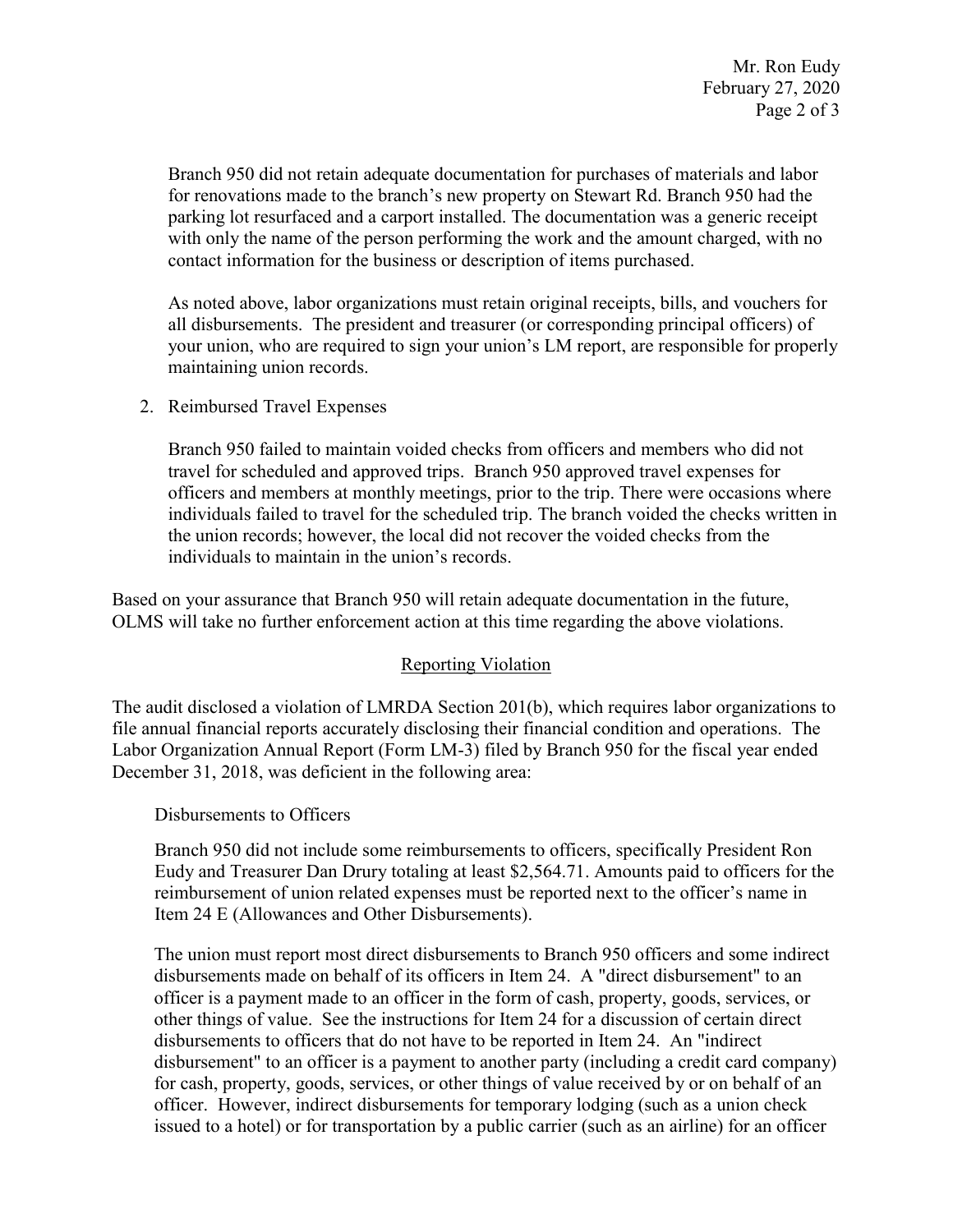Branch 950 did not retain adequate documentation for purchases of materials and labor with only the name of the person performing the work and the amount charged, with no for renovations made to the branch's new property on Stewart Rd. Branch 950 had the parking lot resurfaced and a carport installed. The documentation was a generic receipt contact information for the business or description of items purchased.

As noted above, labor organizations must retain original receipts, bills, and vouchers for all disbursements. The president and treasurer (or corresponding principal officers) of your union, who are required to sign your union's LM report, are responsible for properly maintaining union records.

2. Reimbursed Travel Expenses

 Branch 950 failed to maintain voided checks from officers and members who did not individuals failed to travel for the scheduled trip. The branch voided the checks written in the union records; however, the local did not recover the voided checks from the individuals to maintain in the union's records. travel for scheduled and approved trips. Branch 950 approved travel expenses for officers and members at monthly meetings, prior to the trip. There were occasions where

 Based on your assurance that Branch 950 will retain adequate documentation in the future, OLMS will take no further enforcement action at this time regarding the above violations.

## Reporting Violation

 Labor Organization Annual Report (Form LM-3) filed by Branch 950 for the fiscal year ended The audit disclosed a violation of LMRDA Section 201(b), which requires labor organizations to file annual financial reports accurately disclosing their financial condition and operations. The December 31, 2018, was deficient in the following area:

Disbursements to Officers

 Eudy and Treasurer Dan Drury totaling at least \$[2,564.71.](https://2,564.71) Amounts paid to officers for the Branch 950 did not include some reimbursements to officers, specifically President Ron reimbursement of union related expenses must be reported next to the officer's name in Item 24 E (Allowances and Other Disbursements).

 issued to a hotel) or for transportation by a public carrier (such as an airline) for an officer The union must report most direct disbursements to Branch 950 officers and some indirect disbursements made on behalf of its officers in Item 24. A "direct disbursement" to an officer is a payment made to an officer in the form of cash, property, goods, services, or other things of value. See the instructions for Item 24 for a discussion of certain direct disbursements to officers that do not have to be reported in Item 24. An "indirect disbursement" to an officer is a payment to another party (including a credit card company) for cash, property, goods, services, or other things of value received by or on behalf of an officer. However, indirect disbursements for temporary lodging (such as a union check